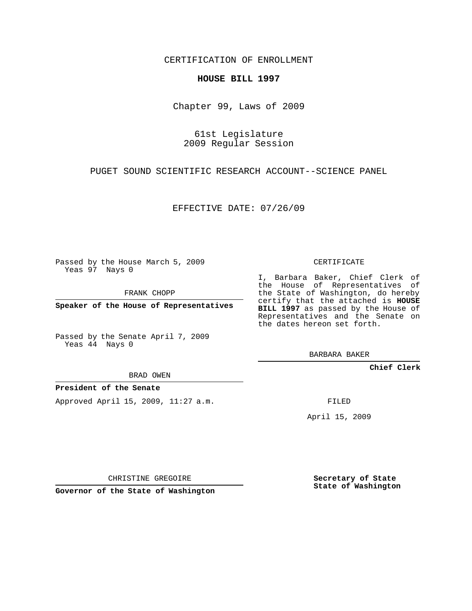CERTIFICATION OF ENROLLMENT

## **HOUSE BILL 1997**

Chapter 99, Laws of 2009

61st Legislature 2009 Regular Session

PUGET SOUND SCIENTIFIC RESEARCH ACCOUNT--SCIENCE PANEL

EFFECTIVE DATE: 07/26/09

Passed by the House March 5, 2009 Yeas 97 Nays 0

FRANK CHOPP

**Speaker of the House of Representatives**

Passed by the Senate April 7, 2009 Yeas 44 Nays 0

BRAD OWEN

## **President of the Senate**

Approved April 15, 2009, 11:27 a.m.

CERTIFICATE

I, Barbara Baker, Chief Clerk of the House of Representatives of the State of Washington, do hereby certify that the attached is **HOUSE BILL 1997** as passed by the House of Representatives and the Senate on the dates hereon set forth.

BARBARA BAKER

**Chief Clerk**

FILED

April 15, 2009

CHRISTINE GREGOIRE

**Governor of the State of Washington**

**Secretary of State State of Washington**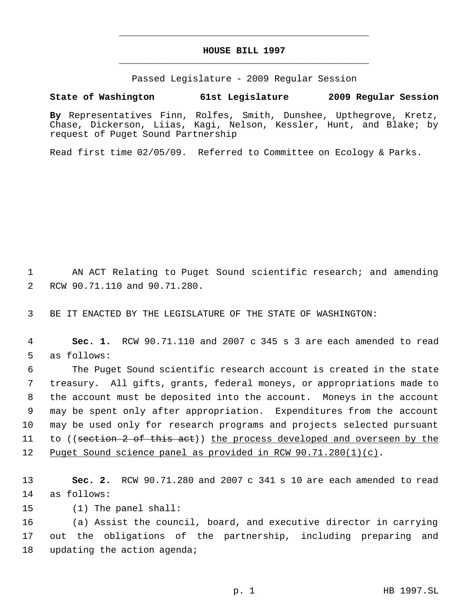## **HOUSE BILL 1997** \_\_\_\_\_\_\_\_\_\_\_\_\_\_\_\_\_\_\_\_\_\_\_\_\_\_\_\_\_\_\_\_\_\_\_\_\_\_\_\_\_\_\_\_\_

\_\_\_\_\_\_\_\_\_\_\_\_\_\_\_\_\_\_\_\_\_\_\_\_\_\_\_\_\_\_\_\_\_\_\_\_\_\_\_\_\_\_\_\_\_

Passed Legislature - 2009 Regular Session

**State of Washington 61st Legislature 2009 Regular Session**

**By** Representatives Finn, Rolfes, Smith, Dunshee, Upthegrove, Kretz, Chase, Dickerson, Liias, Kagi, Nelson, Kessler, Hunt, and Blake; by request of Puget Sound Partnership

Read first time 02/05/09. Referred to Committee on Ecology & Parks.

 AN ACT Relating to Puget Sound scientific research; and amending RCW 90.71.110 and 90.71.280.

BE IT ENACTED BY THE LEGISLATURE OF THE STATE OF WASHINGTON:

 **Sec. 1.** RCW 90.71.110 and 2007 c 345 s 3 are each amended to read as follows:

 The Puget Sound scientific research account is created in the state treasury. All gifts, grants, federal moneys, or appropriations made to the account must be deposited into the account. Moneys in the account may be spent only after appropriation. Expenditures from the account may be used only for research programs and projects selected pursuant 11 to ((section 2 of this act)) the process developed and overseen by the Puget Sound science panel as provided in RCW 90.71.280(1)(c).

 **Sec. 2.** RCW 90.71.280 and 2007 c 341 s 10 are each amended to read as follows:

(1) The panel shall:

 (a) Assist the council, board, and executive director in carrying out the obligations of the partnership, including preparing and updating the action agenda;